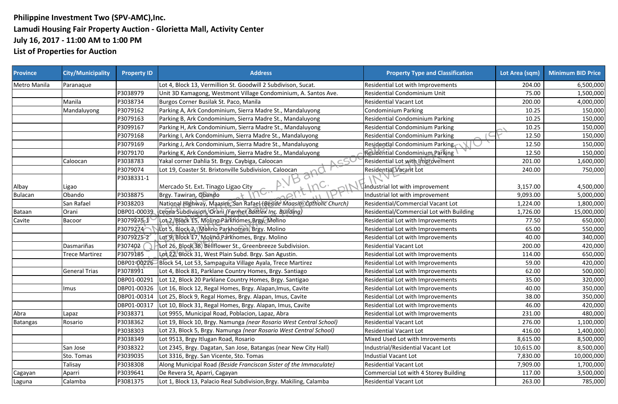## **Philippine Investment Two (SPV-AMC),Inc. Lamudi Housing Fair Property Auction - Glorietta Mall, Activity Center July 16, 2017 - 11:00 AM to 1:00 PM List of Properties for Auction**

| <b>Province</b> | <b>City/Municipality</b> | <b>Property ID</b> | <b>Address</b>                                                       | <b>Property Type and Classification</b>  | Lot Area (sqm) | <b>Minimum BID Price</b> |
|-----------------|--------------------------|--------------------|----------------------------------------------------------------------|------------------------------------------|----------------|--------------------------|
| Metro Manila    | Paranaque                |                    | Lot 4, Block 13, Vermillion St. Goodwill 2 Subdivison, Sucat.        | <b>Residential Lot with Improvements</b> | 204.00         | 6,500,000                |
|                 |                          | P3038979           | Unit 3D Kamagong, Westmont Village Condominium, A. Santos Ave.       | Residential Condominium Unit             | 75.00          | 1,500,000                |
|                 | Manila                   | P3038734           | Burgos Corner Busilak St. Paco, Manila                               | <b>Residential Vacant Lot</b>            | 200.00         | 4,000,000                |
|                 | Mandaluyong              | P3079162           | Parking A, Ark Condominium, Sierra Madre St., Mandaluyong            | <b>Condominium Parking</b>               | 10.25          | 150,000                  |
|                 |                          | P3079163           | Parking B, Ark Condominium, Sierra Madre St., Mandaluyong            | <b>Residential Condominium Parking</b>   | 10.25          | 150,000                  |
|                 |                          | P3099167           | Parking H, Ark Condominium, Sierra Madre St., Mandaluyong            | Residential Condominium Parking          | 10.25          | 150,000                  |
|                 |                          | P3079168           | Parking I, Ark Condominium, Sierra Madre St., Mandaluyong            | Residential Condominium Parking          | 12.50          | 150,000                  |
|                 |                          | P3079169           | Parking J, Ark Condominium, Sierra Madre St., Mandaluyong            | Residential Condominium Parking          | 12.50          | 150,000                  |
|                 |                          | P3079170           | Parking K, Ark Condominium, Sierra Madre St., Mandaluyong            | Residential Condominium Parking          | 12.50          | 150,000                  |
|                 | Caloocan                 | P3038783           | Yakal corner Dahlia St. Brgy. Caybiga, Caloocan<br>N CS              | Residential Lot with Improvement         | 201.00         | 1,600,000                |
|                 |                          | P3079074           | Lot 19, Coaster St. Brixtonville Subdivision, Caloocan               | Residential Vacant Lot                   | 240.00         | 750,000                  |
|                 |                          | P3038331-1         | $Q_{f}$<br>D                                                         |                                          |                |                          |
| Albay           | Ligao                    |                    | د ر<br>Mercado St. Ext. Tinago Ligao City<br>$\wedge$                | Industrial lot with improvement          | 3,157.00       | 4,500,000                |
| <b>Bulacan</b>  | Obando                   | P3038875           | Brgy. Tawiran, Obando                                                | Industrial lot with improvement          | 9,093.00       | 5,000,000                |
|                 | San Rafael               | P3038203           | National Highway, Maasim, San Rafael (Beside Maasim Catholic Church) | Residential/Commercial Vacant Lot        | 1,224.00       | 1,800,000                |
| Bataan          | Orani                    | DBP01-00039        | Leona Subdivision, Orani (Former Battlex Inc. Building)              | Residential/Commercial Lot with Building | 1,726.00       | 15,000,000               |
| Cavite          | Bacoor                   | P3079275-1         | Lot 2, Block 15, Molino Parkhomes, Brgy. Molino                      | Residential Lot with Improvements        | 77.50          | 650,000                  |
|                 |                          | P3079274           | Lot 5, Block 2, Molino Parkhomes, Brgy. Molino                       | Residential Lot with Improvements        | 65.00          | 550,000                  |
|                 |                          | P3079275-2         | Lot 9, Block 17, Molino Parknomes, Brgy. Molino                      | Residential Lot with Improvements        | 40.00          | 340,000                  |
|                 | Dasmariñas               | P307402            | Lot 26, Block 38, Bellflower St., Greenbreeze Subdivision.           | <b>Residential Vacant Lot</b>            | 200.00         | 420,000                  |
|                 | Trece Martirez           | P3079185           | Lot 22, Block 31, West Plain Subd. Brgy. San Agustin.                | Residential Lot with Improvements        | 114.00         | 650,000                  |
|                 |                          | DBP01-00226        | Block 54, Lot 53, Sampaguita Village Ayala, Trece Martirez           | Residential Lot with Improvements        | 59.00          | 420,000                  |
|                 | <b>General Trias</b>     | P3078991           | Lot 4, Block 81, Parklane Country Homes, Brgy. Santiago              | Residential Lot with Improvements        | 62.00          | 500,000                  |
|                 |                          | DBP01-00291        | Lot 12, Block 20 Parklane Country Homes, Brgy. Santigao              | Residential Lot with Improvements        | 35.00          | 320,000                  |
|                 | Imus                     | DBP01-00326        | Lot 16, Block 12, Regal Homes, Brgy. Alapan, Imus, Cavite            | Residential Lot with Improvements        | 40.00          | 350,000                  |
|                 |                          | DBP01-00314        | Lot 25, Block 9, Regal Homes, Brgy. Alapan, Imus, Cavite             | Residential Lot with Improvements        | 38.00          | 350,000                  |
|                 |                          | DBP01-00317        | Lot 10, Block 31, Regal Homes, Brgy. Alapan, Imus, Cavite            | Residential Lot with Improvements        | 46.00          | 420,000                  |
| Abra            | Lapaz                    | P3038371           | Lot 9955, Municipal Road, Poblacion, Lapaz, Abra                     | Residential Lot with Improvements        | 231.00         | 480,000                  |
| <b>Batangas</b> | Rosario                  | P3038362           | Lot 19, Block 10, Brgy. Namunga (near Rosario West Central School)   | <b>Residential Vacant Lot</b>            | 276.00         | 1,100,000                |
|                 |                          | P3038303           | Lot 23, Block 5, Brgy. Namunga (near Rosario West Central School)    | <b>Residential Vacant Lot</b>            | 416.00         | 1,400,000                |
|                 |                          | P3038349           | Lot 9513, Brgy Itlugan Road, Rosario                                 | Mixed Used Lot with Imrovements          | 8,615.00       | 8,500,000                |
|                 | San Jose                 | P3038322           | Lot 2345, Brgy. Dagatan, San Jose, Batangas (near New City Hall)     | Industrial/Residential Vacant Lot        | 10,615.00      | 8,500,000                |
|                 | Sto. Tomas               | P3039035           | Lot 3316, Brgy. San Vicente, Sto. Tomas                              | Industial Vacant Lot                     | 7,830.00       | 10,000,000               |
|                 | Talisay                  | P3038308           | Along Municipal Road (Beside Franciscan Sister of the Immaculate)    | <b>Residential Vacant Lot</b>            | 7,909.00       | 1,700,000                |
| Cagayan         | Aparri                   | P3039641           | De Revera St, Aparri, Cagayan                                        | Commercial Lot with 4 Storey Building    | 117.00         | 3,500,000                |
| Laguna          | Calamba                  | P3081375           | Lot 1, Block 13, Palacio Real Subdivision, Brgy. Makiling, Calamba   | <b>Residential Vacant Lot</b>            | 263.00         | 785,000                  |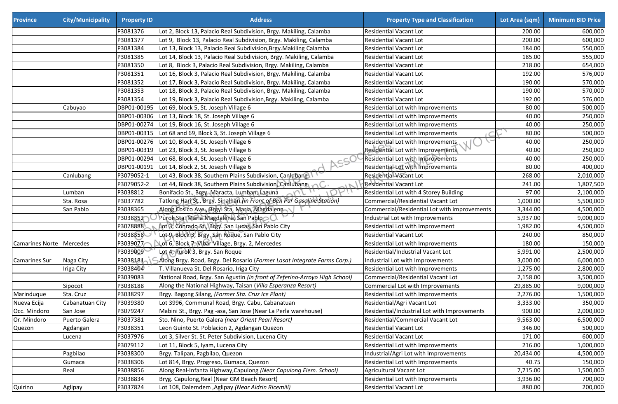| <b>Province</b>            | <b>City/Municipality</b> | <b>Property ID</b> | <b>Address</b>                                                             | <b>Property Type and Classification</b>      | Lot Area (sqm) | <b>Minimum BID Price</b> |
|----------------------------|--------------------------|--------------------|----------------------------------------------------------------------------|----------------------------------------------|----------------|--------------------------|
|                            |                          | P3081376           | Lot 2, Block 13, Palacio Real Subdivision, Brgy. Makiling, Calamba         | <b>Residential Vacant Lot</b>                | 200.00         | 600,000                  |
|                            |                          | P3081377           | Lot 9, Block 13, Palacio Real Subdivision, Brgy. Makiling, Calamba         | <b>Residential Vacant Lot</b>                | 200.00         | 600,000                  |
|                            |                          | P3081384           | Lot 13, Block 13, Palacio Real Subdivision, Brgy. Makiling Calamba         | Residential Vacant Lot                       | 184.00         | 550,000                  |
|                            |                          | P3081385           | Lot 14, Block 13, Palacio Real Subdivision, Brgy. Makiling, Calamba        | Residential Vacant Lot                       | 185.00         | 555,000                  |
|                            |                          | P3081350           | Lot 8, Block 3, Palacio Real Subdivision, Brgy. Makiling, Calamba          | <b>Residential Vacant Lot</b>                | 218.00         | 654,000                  |
|                            |                          | P3081351           | Lot 16, Block 3, Palacio Real Subdivision, Brgy. Makiling, Calamba         | <b>Residential Vacant Lot</b>                | 192.00         | 576,000                  |
|                            |                          | P3081352           | Lot 17, Block 3, Palacio Real Subdivision, Brgy. Makiling, Calamba         | <b>Residential Vacant Lot</b>                | 190.00         | 570,000                  |
|                            |                          | P3081353           | Lot 18, Block 3, Palacio Real Subdivision, Brgy. Makiling, Calamba         | Residential Vacant Lot                       | 190.00         | 570,000                  |
|                            |                          | P3081354           | Lot 19, Block 3, Palacio Real Subdivision, Brgy. Makiling, Calamba         | <b>Residential Vacant Lot</b>                | 192.00         | 576,000                  |
|                            | Cabuyao                  | DBP01-00195        | Lot 69, block 5, St. Joseph Village 6                                      | Residential Lot with Improvements            | 80.00          | 500,000                  |
|                            |                          | DBP01-00306        | Lot 13, Block 18, St. Joseph Village 6                                     | Residential Lot with Improvements            | 40.00          | 250,000                  |
|                            |                          | DBP01-00274        | Lot 19, Block 16, St. Joseph Village 6                                     | Residential Lot with Improvements            | 40.00          | 250,000                  |
|                            |                          | DBP01-00315        | Lot 68 and 69, Block 3, St. Joseph Village 6                               | Residential Lot with Improvements            | 80.00          | 500,000                  |
|                            |                          | DBP01-00276        | Lot 10, Block 4, St. Joseph Village 6                                      | Residential Lot with Improvements            | 40.00          | 250,000                  |
|                            |                          | DBP01-00319        | Lot 23, Block 3, St. Joseph Village 6                                      | VN<br>Residential Lot with Improvements      | 40.00          | 250,000                  |
|                            |                          | DBP01-00294        | Lot 68, Block 4, St. Joseph Village 6                                      | Residential Lot with Improvements            | 40.00          | 250,000                  |
|                            |                          | DBP01-00191        | Lot 14, Block 2, St. Joseph Village 6                                      | Residential Lot with Improvements            | 80.00          | 400,000                  |
|                            | Canlubang                | P3079052-1         | Lot 43, Block 38, Southern Plains Subdivision, Canlubang                   | <b>Residential Vacant Lot</b>                | 268.00         | 2,010,000                |
|                            |                          | P3079052-2         | Lot 44, Block 38, Southern Plains Subdivision, Canlubang                   | <b>Residential Vacant Lot</b>                | 241.00         | 1,807,500                |
|                            | Lumban                   | P3038812           | Bonifacio St., Brgy. Maracta, Lumban, Laguna                               | Residential Lot with 4 Storey Building       | 97.00          | 2,100,000                |
|                            | Sta. Rosa                | P3037782           | Tatlong Hari St., Brgy. Sinalhan (in Front of Ben Pur Gasoline Station)    | Commercial/Residential Vacant Lot            | 1,000.00       | 5,500,000                |
|                            | San Pablo                | P3038365           | Along Cosico Ave., Brgy. Sta. Maria, Magdalena                             | Commercial/Residential Lot with improvements | 3,344.00       | 4,500,000                |
|                            |                          | P3038352           | Purok Sta. Maria Magdalena, San Pablo                                      | Industrial Lot with Improvements             | 5,937.00       | 9,000,000                |
|                            |                          | P3078888           | Lot 3, Conrado St., Brgy. San Lucas, San Pablo City                        | Residential Lot with Improvement             | 1,982.00       | 4,500,000                |
|                            |                          | P3038858           | Lot 9, Block 3, Brgy. San Roque, San Pablo City                            | Residential Vacant Lot                       | 240.00         | 850,000                  |
| Camarines Norte   Mercedes |                          | P3039077           | Lot 6, Block 7, Vibar Village, Brgy. 2, Mercedes                           | Residential Lot with Improvements            | 180.00         | 150,000                  |
|                            |                          | P3039009           | Lot 4, Purok 3, Brgy. San Roque                                            | Residential/Industrial Vacant Lot            | 5,991.00       | 2,500,000                |
| Camarines Sur              | Naga City                | P3038181           | Along Brgy. Road, Brgy. Del Rosario (Former Lasat Integrate Farms Corp.)   | Industrial Lot with Improvements             | 3,000.00       | 6,000,000                |
|                            | Iriga City               | P3038404           | T. Villanueva St. Del Rosario, Iriga City                                  | Residential Lot with Improvements            | 1,275.00       | 2,800,000                |
|                            |                          | P3039083           | National Road, Brgy. San Agustin (in front of Zeferino-Arroyo High School) | Commercial/Residential Vacant Lot            | 2,158.00       | 3,500,000                |
|                            | Sipocot                  | P3038188           | Along the National Highway, Taisan (Villa Esperanza Resort)                | Commercial Lot with Improvements             | 29,885.00      | 9,000,000                |
| Marinduque                 | Sta. Cruz                | P3038297           | Brgy. Bagong Silang, (Former Sta. Cruz Ice Plant)                          | Residential Lot with Improvements            | 2,276.00       | 1,500,000                |
| Nueva Ecija                | Cabanatuan City          | P3039380           | Lot 3996, Communal Road, Brgy. Cabu, Cabanatuan                            | Residential/Agri Vacant Lot                  | 3,333.00       | 350,000                  |
| Occ. Mindoro               | San Jose                 | P3079247           | Mabini St., Brgy. Pag -asa, San Jose (Near La Perla warehouse)             | Residential/Industrial Lot with Improvements | 900.00         | 2,000,000                |
| Or. Mindoro                | Puerto Galera            | P3037381           | Sto. Nino, Puerto Galera (near Orient Pearl Resort)                        | Residential/Commercial Vacant Lot            | 9,563.00       | 6,500,000                |
| Quezon                     | Agdangan                 | P3038351           | Leon Guinto St. Poblacion 2, Agdangan Quezon                               | <b>Residential Vacant Lot</b>                | 346.00         | 500,000                  |
|                            | Lucena                   | P3037976           | Lot 3, Silver St. St. Peter Subdivision, Lucena City                       | <b>Residential Vacant Lot</b>                | 171.00         | 600,000                  |
|                            |                          | P3079112           | Lot 11, Block 5, Iyam, Lucena City                                         | Residential Lot with Improvements            | 216.00         | 1,000,000                |
|                            | Pagbilao                 | P3038300           | Brgy. Talipan, Pagbilao, Quezon                                            | Industrial/Agri Lot with Improvements        | 20,434.00      | 4,500,000                |
|                            | Gumaca                   | P3038306           | Lot 814, Brgy. Progreso, Gumaca, Quezon                                    | Residential Lot with Improvements            | 40.75          | 150,000                  |
|                            | Real                     | P3038856           | Along Real-Infanta Highway, Capulong (Near Capulong Elem. School)          | Agricultural Vacant Lot                      | 7,715.00       | 1,500,000                |
|                            |                          | P3038834           | Bryg. Capulong, Real (Near GM Beach Resort)                                | Residential Lot with Improvements            | 3,936.00       | 700,000                  |
| Quirino                    | Aglipay                  | P3037824           | Lot 108, Dalemdem , Aglipay (Near Aldrin Ricemill)                         | Residential Vacant Lot                       | 880.00         | 200,000                  |